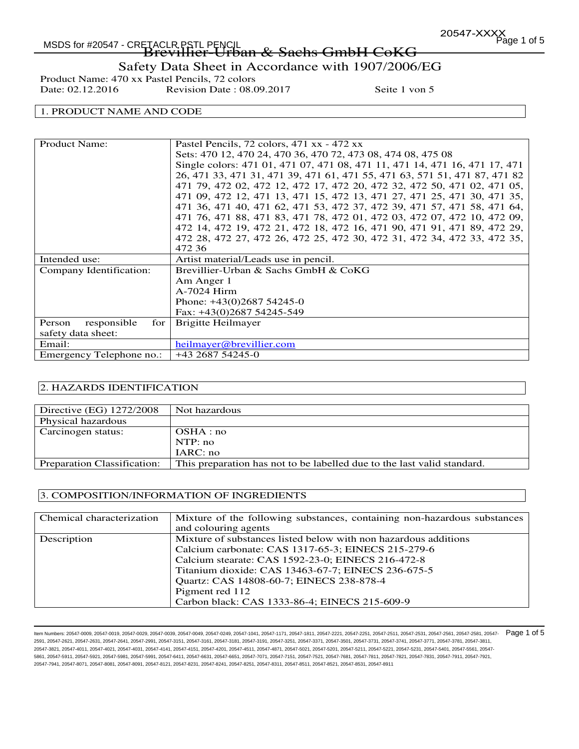# MSDS for #20547 - CRETACLR PSTL PENCIL  $\begin{array}{ccc} & 2 & 1 & 1 & 1 & 1 & 1 \end{array}$  MSDS for #20547 - CRETACLR PSTL PENCIL -TACLR.PSIL PENGIL<br>**Brevillier-Urban & Sachs GmbH CoKG**

# Safety Data Sheet in Accordance with 1907/2006/EG

Product Name: 470 xx Pastel Pencils, 72 colors<br>Date: 02.12.2016 Revision Date : 08.0 Revision Date : 08.09.2017 Seite 1 von 5

### 1. PRODUCT NAME AND CODE

| <b>Product Name:</b>           | Pastel Pencils, 72 colors, 471 xx - 472 xx                                 |
|--------------------------------|----------------------------------------------------------------------------|
|                                |                                                                            |
|                                | Sets: 470 12, 470 24, 470 36, 470 72, 473 08, 474 08, 475 08               |
|                                | Single colors: 471 01, 471 07, 471 08, 471 11, 471 14, 471 16, 471 17, 471 |
|                                | 26, 471 33, 471 31, 471 39, 471 61, 471 55, 471 63, 571 51, 471 87, 471 82 |
|                                | 471 79, 472 02, 472 12, 472 17, 472 20, 472 32, 472 50, 471 02, 471 05,    |
|                                | 471 09, 472 12, 471 13, 471 15, 472 13, 471 27, 471 25, 471 30, 471 35,    |
|                                | 471 36, 471 40, 471 62, 471 53, 472 37, 472 39, 471 57, 471 58, 471 64,    |
|                                | 471 76, 471 88, 471 83, 471 78, 472 01, 472 03, 472 07, 472 10, 472 09,    |
|                                | 472 14, 472 19, 472 21, 472 18, 472 16, 471 90, 471 91, 471 89, 472 29,    |
|                                | 472 28, 472 27, 472 26, 472 25, 472 30, 472 31, 472 34, 472 33, 472 35,    |
|                                | 472 36                                                                     |
| Intended use:                  | Artist material/Leads use in pencil.                                       |
| Company Identification:        | Brevillier-Urban & Sachs GmbH & CoKG                                       |
|                                | Am Anger 1                                                                 |
|                                | A-7024 Hirm                                                                |
|                                | Phone: $+43(0)268754245-0$                                                 |
|                                | Fax: $+43(0)268754245-549$                                                 |
| Person<br>responsible<br>for 1 | Brigitte Heilmayer                                                         |
| safety data sheet:             |                                                                            |
| Email:                         | heilmayer@brevillier.com                                                   |
| Emergency Telephone no.:       | +43 2687 54245-0                                                           |

### 2. HAZARDS IDENTIFICATION

| Directive (EG) 1272/2008    | Not hazardous                                                           |
|-----------------------------|-------------------------------------------------------------------------|
| Physical hazardous          |                                                                         |
| Carcinogen status:          | OSHA:no                                                                 |
|                             | NTP:no                                                                  |
|                             | IARC: no                                                                |
| Preparation Classification: | This preparation has not to be labelled due to the last valid standard. |

#### 3. COMPOSITION/INFORMATION OF INGREDIENTS

| Chemical characterization | Mixture of the following substances, containing non-hazardous substances<br>and colouring agents                                                                                                                                                                                                                                                 |
|---------------------------|--------------------------------------------------------------------------------------------------------------------------------------------------------------------------------------------------------------------------------------------------------------------------------------------------------------------------------------------------|
| Description               | Mixture of substances listed below with non hazardous additions<br>Calcium carbonate: CAS 1317-65-3; EINECS 215-279-6<br>Calcium stearate: CAS 1592-23-0; EINECS 216-472-8<br>Titanium dioxide: CAS 13463-67-7; EINECS 236-675-5<br>Quartz: CAS 14808-60-7; EINECS 238-878-4<br>Pigment red 112<br>Carbon black: CAS 1333-86-4; EINECS 215-609-9 |

ltem Numbers: 20547-0009, 20547-0019, 20547-0029, 20547-0039, 20547-0049, 20547-0249, 20547-1041, 20547-1171, 20547-2251, 20547-2251, 20547-251, 20547-2531, 20547-2531, 20547-2581, 20547-2581, 20547-2581, 20547-2581, 20547 2591, 20547-2621, 20547-2631, 20547-2641, 20547-2991, 20547-3151, 20547-3161, 20547-3181, 20547-3191, 20547-3251, 20547-3371, 20547-3501, 20547-3731, 20547-3741, 20547-3771, 20547-3781, 20547-3811, 20547-3821, 20547-4011, 20547-4021, 20547-4031, 20547-4141, 20547-4151, 20547-4201, 20547-4511, 20547-4871, 20547-5021, 20547-5201, 20547-5211, 20547-5221, 20547-5231, 20547-5401, 20547-5561, 20547- 5861, 20547-5911, 20547-5921, 20547-5981, 20547-5991, 20547-6411, 20547-6631, 20547-6651, 20547-7071, 20547-7511, 20547-7681, 20547-7681, 20547-781, 20547-7821, 20547-7831, 20547-7831, 20547-7831, 20547-7831, 20547-7911, 20 20547-7941, 20547-8071, 20547-8081, 20547-8091, 20547-8121, 20547-8231, 20547-8241, 20547-8251, 20547-8311, 20547-8511, 20547-8521, 20547-8531, 20547-8911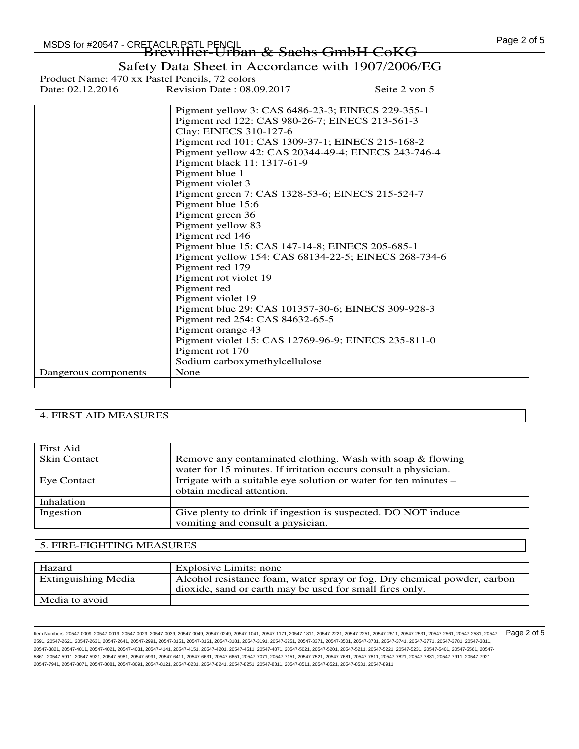|                      | Pigment yellow 3: CAS 6486-23-3; EINECS 229-355-1    |
|----------------------|------------------------------------------------------|
|                      | Pigment red 122: CAS 980-26-7; EINECS 213-561-3      |
|                      | Clay: EINECS 310-127-6                               |
|                      | Pigment red 101: CAS 1309-37-1; EINECS 215-168-2     |
|                      | Pigment yellow 42: CAS 20344-49-4; EINECS 243-746-4  |
|                      | Pigment black 11: 1317-61-9                          |
|                      | Pigment blue 1                                       |
|                      | Pigment violet 3                                     |
|                      | Pigment green 7: CAS 1328-53-6; EINECS 215-524-7     |
|                      | Pigment blue 15:6                                    |
|                      | Pigment green 36                                     |
|                      | Pigment yellow 83                                    |
|                      | Pigment red 146                                      |
|                      | Pigment blue 15: CAS 147-14-8; EINECS 205-685-1      |
|                      | Pigment yellow 154: CAS 68134-22-5; EINECS 268-734-6 |
|                      | Pigment red 179                                      |
|                      | Pigment rot violet 19                                |
|                      | Pigment red                                          |
|                      | Pigment violet 19                                    |
|                      | Pigment blue 29: CAS 101357-30-6; EINECS 309-928-3   |
|                      | Pigment red 254: CAS 84632-65-5                      |
|                      | Pigment orange 43                                    |
|                      | Pigment violet 15: CAS 12769-96-9; EINECS 235-811-0  |
|                      | Pigment rot 170                                      |
|                      | Sodium carboxymethylcellulose                        |
| Dangerous components | None                                                 |
|                      |                                                      |

#### 4. FIRST AID MEASURES

| First Aid           |                                                                  |
|---------------------|------------------------------------------------------------------|
| <b>Skin Contact</b> | Remove any contaminated clothing. Wash with soap & flowing       |
|                     | water for 15 minutes. If irritation occurs consult a physician.  |
| Eye Contact         | Irrigate with a suitable eye solution or water for ten minutes – |
|                     | obtain medical attention.                                        |
| Inhalation          |                                                                  |
| Ingestion           | Give plenty to drink if ingestion is suspected. DO NOT induce    |
|                     | vomiting and consult a physician.                                |

#### 5. FIRE-FIGHTING MEASURES

| Hazard              | Explosive Limits: none                                                   |
|---------------------|--------------------------------------------------------------------------|
| Extinguishing Media | Alcohol resistance foam, water spray or fog. Dry chemical powder, carbon |
|                     | dioxide, sand or earth may be used for small fires only.                 |
| Media to avoid      |                                                                          |

ltem Numbers: 20547-0009, 20547-0019, 20547-0029, 20547-0039, 20547-0049, 20547-0249, 20547-1041, 20547-1171, 20547-2251, 20547-2251, 20547-251, 20547-2531, 20547-2531, 20547-2581, 20547-2581, 20547-2581, 20547-2581, 20547 2591, 20547-2621, 20547-2631, 20547-2641, 20547-2991, 20547-3151, 20547-3161, 20547-3181, 20547-3191, 20547-3251, 20547-3371, 20547-3501, 20547-3731, 20547-3741, 20547-3771, 20547-3781, 20547-3811, 20547-3821, 20547-4011, 20547-4021, 20547-4031, 20547-4141, 20547-4151, 20547-4201, 20547-4511, 20547-4871, 20547-5021, 20547-5201, 20547-5211, 20547-5221, 20547-5231, 20547-5401, 20547-5561, 20547- 5861, 20547-5911, 20547-5921, 20547-5981, 20547-5991, 20547-6411, 20547-6631, 20547-6651, 20547-7071, 20547-7511, 20547-7681, 20547-7681, 20547-781, 20547-7821, 20547-7831, 20547-7831, 20547-7831, 20547-7831, 20547-7911, 20 20547-7941, 20547-8071, 20547-8081, 20547-8091, 20547-8121, 20547-8231, 20547-8241, 20547-8251, 20547-8311, 20547-8511, 20547-8521, 20547-8531, 20547-8911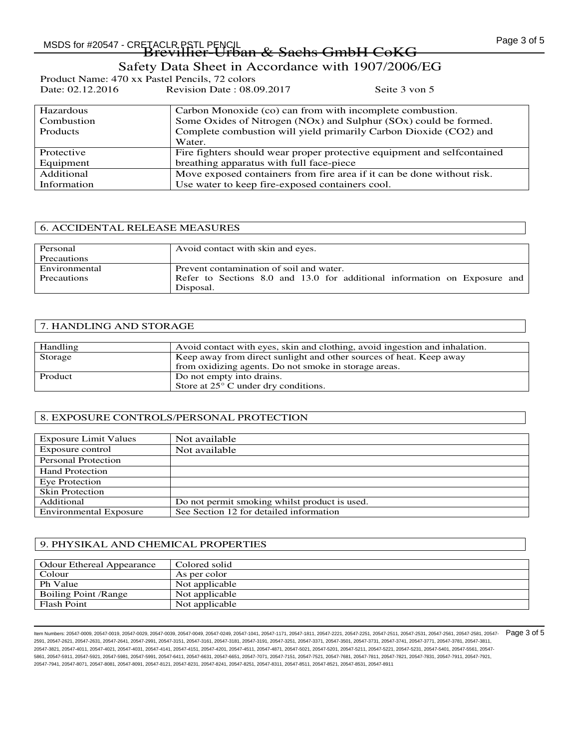Product Name: 470 xx Pastel Pencils, 72 colors<br>Date: 02.12.2016 Revision Date: 08.0 Revision Date : 08.09.2017 Seite 3 von 5

| Hazardous       | Carbon Monoxide (co) can from with incomplete combustion.               |
|-----------------|-------------------------------------------------------------------------|
| Combustion      | Some Oxides of Nitrogen (NOx) and Sulphur (SOx) could be formed.        |
| <b>Products</b> | Complete combustion will yield primarily Carbon Dioxide (CO2) and       |
|                 | Water.                                                                  |
| Protective      | Fire fighters should wear proper protective equipment and selfcontained |
| Equipment       | breathing apparatus with full face-piece                                |
| Additional      | Move exposed containers from fire area if it can be done without risk.  |
| Information     | Use water to keep fire-exposed containers cool.                         |

### 6. ACCIDENTAL RELEASE MEASURES

| Personal      | Avoid contact with skin and eyes.                                         |
|---------------|---------------------------------------------------------------------------|
| Precautions   |                                                                           |
| Environmental | Prevent contamination of soil and water.                                  |
| Precautions   | Refer to Sections 8.0 and 13.0 for additional information on Exposure and |
|               | Disposal.                                                                 |

### 7. HANDLING AND STORAGE

| Handling | Avoid contact with eyes, skin and clothing, avoid ingestion and inhalation. |
|----------|-----------------------------------------------------------------------------|
| Storage  | Keep away from direct sunlight and other sources of heat. Keep away         |
|          | from oxidizing agents. Do not smoke in storage areas.                       |
|          |                                                                             |
| Product  | Do not empty into drains.                                                   |
|          | Store at $25^{\circ}$ C under dry conditions.                               |

### 8. EXPOSURE CONTROLS/PERSONAL PROTECTION

| <b>Exposure Limit Values</b>  | Not available                                 |
|-------------------------------|-----------------------------------------------|
| Exposure control              | Not available                                 |
| Personal Protection           |                                               |
| <b>Hand Protection</b>        |                                               |
| Eye Protection                |                                               |
| <b>Skin Protection</b>        |                                               |
| Additional                    | Do not permit smoking whilst product is used. |
| <b>Environmental Exposure</b> | See Section 12 for detailed information       |

### 9. PHYSIKAL AND CHEMICAL PROPERTIES

| <b>Odour Ethereal Appearance</b> | Colored solid  |
|----------------------------------|----------------|
| Colour                           | As per color   |
| Ph Value                         | Not applicable |
| Boiling Point / Range            | Not applicable |
| <b>Flash Point</b>               | Not applicable |

ltem Numbers: 20547-0009, 20547-0019, 20547-0029, 20547-0039, 20547-0049, 20547-0249, 20547-1041, 20547-1171, 20547-2251, 20547-2251, 20547-251, 20547-2531, 20547-2531, 20547-2581, 20547-2581, 20547-2581, 20547-2581, 20547 2591, 20547-2621, 20547-2631, 20547-2641, 20547-2991, 20547-3151, 20547-3161, 20547-3181, 20547-3191, 20547-3251, 20547-3371, 20547-3501, 20547-3731, 20547-3741, 20547-3771, 20547-3781, 20547-3811, 20547-3821, 20547-4011, 20547-4021, 20547-4031, 20547-4141, 20547-4151, 20547-4201, 20547-4511, 20547-4871, 20547-5021, 20547-5201, 20547-5211, 20547-5221, 20547-5231, 20547-5401, 20547-5561, 20547- 5861, 20547-5911, 20547-5921, 20547-5981, 20547-5991, 20547-6411, 20547-6631, 20547-6651, 20547-7071, 20547-7511, 20547-7681, 20547-7681, 20547-781, 20547-7821, 20547-7831, 20547-7831, 20547-7831, 20547-7831, 20547-7911, 20 20547-7941, 20547-8071, 20547-8081, 20547-8091, 20547-8121, 20547-8231, 20547-8241, 20547-8251, 20547-8311, 20547-8511, 20547-8521, 20547-8531, 20547-8911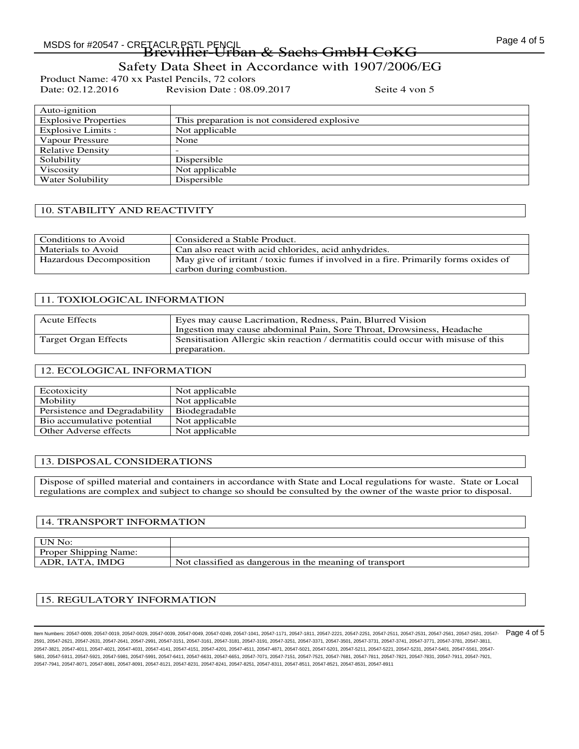Product Name: 470 xx Pastel Pencils, 72 colors<br>Date: 02.12.2016 Revision Date : 08.0 Revision Date : 08.09.2017 Seite 4 von 5

| Auto-ignition               |                                               |
|-----------------------------|-----------------------------------------------|
| <b>Explosive Properties</b> | This preparation is not considered explosive. |
| Explosive Limits :          | Not applicable                                |
| Vapour Pressure             | None                                          |
| <b>Relative Density</b>     | -                                             |
| Solubility                  | Dispersible                                   |
| Viscosity                   | Not applicable                                |
| Water Solubility            | Dispersible                                   |

#### 10. STABILITY AND REACTIVITY

| Conditions to Avoid     | Considered a Stable Product.                                                                                     |
|-------------------------|------------------------------------------------------------------------------------------------------------------|
| Materials to Avoid      | Can also react with acid chlorides, acid anhydrides.                                                             |
| Hazardous Decomposition | May give of irritant / toxic fumes if involved in a fire. Primarily forms oxides of<br>carbon during combustion. |

#### 11. TOXIOLOGICAL INFORMATION

| <b>Acute Effects</b> | Eyes may cause Lacrimation, Redness, Pain, Blurred Vision                                         |
|----------------------|---------------------------------------------------------------------------------------------------|
|                      | Ingestion may cause abdominal Pain, Sore Throat, Drowsiness, Headache                             |
| Target Organ Effects | Sensitisation Allergic skin reaction / dermatitis could occur with misuse of this<br>preparation. |

### 12. ECOLOGICAL INFORMATION

| Ecotoxicity                   | Not applicable |
|-------------------------------|----------------|
| Mobility                      | Not applicable |
| Persistence and Degradability | Biodegradable  |
| Bio accumulative potential    | Not applicable |
| Other Adverse effects         | Not applicable |

### 13. DISPOSAL CONSIDERATIONS

Dispose of spilled material and containers in accordance with State and Local regulations for waste. State or Local regulations are complex and subject to change so should be consulted by the owner of the waste prior to disposal.

#### 14. TRANSPORT INFORMATION

| UN No:                       |                                                         |
|------------------------------|---------------------------------------------------------|
| <b>Proper Shipping Name:</b> |                                                         |
| ADR, IATA, IMDG              | Not classified as dangerous in the meaning of transport |

#### 15. REGULATORY INFORMATION

ltem Numbers: 20547-0009, 20547-0019, 20547-0029, 20547-0039, 20547-0049, 20547-0249, 20547-1041, 20547-1171, 20547-2251, 20547-2251, 20547-251, 20547-2531, 20547-2531, 20547-2581, 20547-2581, 20547-2581, 20547-2581, 20547 2591, 20547-2621, 20547-2631, 20547-2641, 20547-2991, 20547-3151, 20547-3161, 20547-3181, 20547-3191, 20547-3251, 20547-3371, 20547-3501, 20547-3731, 20547-3741, 20547-3771, 20547-3781, 20547-3811, 20547-3821, 20547-4011, 20547-4021, 20547-4031, 20547-4141, 20547-4151, 20547-4201, 20547-4511, 20547-4871, 20547-5021, 20547-5201, 20547-5211, 20547-5221, 20547-5231, 20547-5401, 20547-5561, 20547- 5861, 20547-5911, 20547-5921, 20547-5981, 20547-5991, 20547-6411, 20547-6631, 20547-6651, 20547-7071, 20547-7511, 20547-7681, 20547-7681, 20547-781, 20547-7821, 20547-7831, 20547-7831, 20547-7831, 20547-7831, 20547-7911, 20 20547-7941, 20547-8071, 20547-8081, 20547-8091, 20547-8121, 20547-8231, 20547-8241, 20547-8251, 20547-8311, 20547-8511, 20547-8521, 20547-8531, 20547-8911